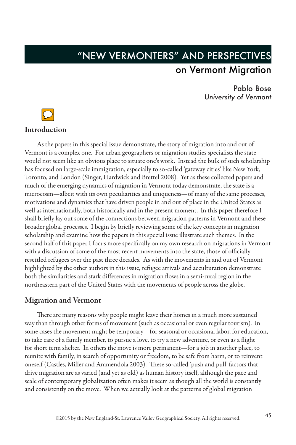# "NEW VERMONTERS" AND PERSPECTIVES on Vermont Migration

Pablo Bose *University of Vermont*



As the papers in this special issue demonstrate, the story of migration into and out of Vermont is a complex one. For urban geographers or migration studies specialists the state would not seem like an obvious place to situate one's work. Instead the bulk of such scholarship has focused on large-scale immigration, especially to so-called 'gateway cities' like New York, Toronto, and London (Singer, Hardwick and Brettel 2008). Yet as these collected papers and much of the emerging dynamics of migration in Vermont today demonstrate, the state is a microcosm—albeit with its own peculiarities and uniqueness—of many of the same processes, motivations and dynamics that have driven people in and out of place in the United States as well as internationally, both historically and in the present moment. In this paper therefore I shall briefly lay out some of the connections between migration patterns in Vermont and these broader global processes. I begin by briefly reviewing some of the key concepts in migration scholarship and examine how the papers in this special issue illustrate such themes. In the second half of this paper I focus more specifically on my own research on migrations in Vermont with a discussion of some of the most recent movements into the state, those of officially resettled refugees over the past three decades. As with the movements in and out of Vermont highlighted by the other authors in this issue, refugee arrivals and acculturation demonstrate both the similarities and stark differences in migration flows in a semi-rural region in the northeastern part of the United States with the movements of people across the globe.

## Migration and Vermont

There are many reasons why people might leave their homes in a much more sustained way than through other forms of movement (such as occasional or even regular tourism). In some cases the movement might be temporary—for seasonal or occasional labor, for education, to take care of a family member, to pursue a love, to try a new adventure, or even as a flight for short term shelter. In others the move is more permanent—for a job in another place, to reunite with family, in search of opportunity or freedom, to be safe from harm, or to reinvent oneself (Castles, Miller and Ammendola 2003). These so-called 'push and pull' factors that drive migration are as varied (and yet as old) as human history itself, although the pace and scale of contemporary globalization often makes it seem as though all the world is constantly and consistently on the move. When we actually look at the patterns of global migration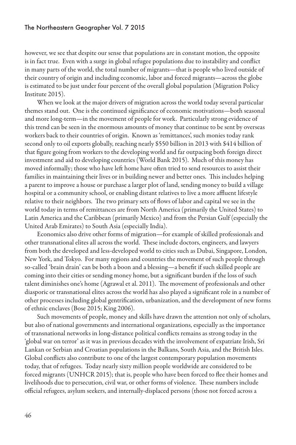however, we see that despite our sense that populations are in constant motion, the opposite is in fact true. Even with a surge in global refugee populations due to instability and conflict in many parts of the world, the total number of migrants—that is people who lived outside of their country of origin and including economic, labor and forced migrants—across the globe is estimated to be just under four percent of the overall global population (Migration Policy Institute 2015).

When we look at the major drivers of migration across the world today several particular themes stand out. One is the continued significance of economic motivations—both seasonal and more long-term—in the movement of people for work. Particularly strong evidence of this trend can be seen in the enormous amounts of money that continue to be sent by overseas workers back to their countries of origin. Known as 'remittances', such monies today rank second only to oil exports globally, reaching nearly \$550 billion in 2013 with \$414 billion of that figure going from workers to the developing world and far outpacing both foreign direct investment and aid to developing countries (World Bank 2015). Much of this money has moved informally; those who have left home have often tried to send resources to assist their families in maintaining their lives or in building newer and better ones. This includes helping a parent to improve a house or purchase a larger plot of land, sending money to build a village hospital or a community school, or enabling distant relatives to live a more affluent lifestyle relative to their neighbors. The two primary sets of flows of labor and capital we see in the world today in terms of remittances are from North America (primarily the United States) to Latin America and the Caribbean (primarily Mexico) and from the Persian Gulf (especially the United Arab Emirates) to South Asia (especially India).

Economics also drive other forms of migration—for example of skilled professionals and other transnational elites all across the world. These include doctors, engineers, and lawyers from both the developed and less-developed world to cities such as Dubai, Singapore, London, New York, and Tokyo. For many regions and countries the movement of such people through so-called 'brain drain' can be both a boon and a blessing—a benefit if such skilled people are coming into their cities or sending money home, but a significant burden if the loss of such talent diminishes one's home (Agrawal et al. 2011). The movement of professionals and other diasporic or transnational elites across the world has also played a significant role in a number of other processes including global gentrification, urbanization, and the development of new forms of ethnic enclaves (Bose 2015; King 2006).

Such movements of people, money and skills have drawn the attention not only of scholars, but also of national governments and international organizations, especially as the importance of transnational networks in long-distance political conflicts remains as strong today in the 'global war on terror' as it was in previous decades with the involvement of expatriate Irish, Sri Lankan or Serbian and Croatian populations in the Balkans, South Asia, and the British Isles. Global conflicts also contribute to one of the largest contemporary population movements today, that of refugees. Today nearly sixty million people worldwide are considered to be forced migrants (UNHCR 2015); that is, people who have been forced to flee their homes and livelihoods due to persecution, civil war, or other forms of violence. These numbers include official refugees, asylum seekers, and internally-displaced persons (those not forced across a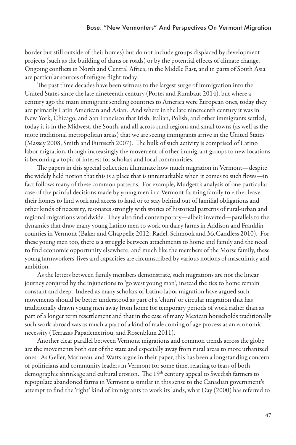#### Bose: "New Vermonters" And Perspectives On Vermont Migration

border but still outside of their homes) but do not include groups displaced by development projects (such as the building of dams or roads) or by the potential effects of climate change. Ongoing conflicts in North and Central Africa, in the Middle East, and in parts of South Asia are particular sources of refugee flight today.

The past three decades have been witness to the largest surge of immigration into the United States since the late nineteenth century (Portes and Rumbaut 2014), but where a century ago the main immigrant sending countries to America were European ones, today they are primarily Latin American and Asian. And where in the late nineteenth century it was in New York, Chicago, and San Francisco that Irish, Italian, Polish, and other immigrants settled, today it is in the Midwest, the South, and all across rural regions and small towns (as well as the more traditional metropolitan areas) that we are seeing immigrants arrive in the United States (Massey 2008; Smith and Furuseth 2007). The bulk of such activity is comprised of Latino labor migration, though increasingly the movement of other immigrant groups to new locations is becoming a topic of interest for scholars and local communities.

The papers in this special collection illuminate how much migration in Vermont—despite the widely held notion that this is a place that is unremarkable when it comes to such flows—in fact follows many of these common patterns. For example, Mudgett's analysis of one particular case of the painful decisions made by young men in a Vermont farming family to either leave their homes to find work and access to land or to stay behind out of familial obligations and other kinds of necessity, resonates strongly with stories of historical patterns of rural-urban and regional migrations worldwide. They also find contemporary—albeit inverted—parallels to the dynamics that draw many young Latino men to work on dairy farms in Addison and Franklin counties in Vermont (Baker and Chappelle 2012; Radel, Schmook and McCandless 2010). For these young men too, there is a struggle between attachments to home and family and the need to find economic opportunity elsewhere; and much like the members of the Morse family, these young farmworkers' lives and capacities are circumscribed by various notions of masculinity and ambition.

As the letters between family members demonstrate, such migrations are not the linear journey conjured by the injunctions to 'go west young man'; instead the ties to home remain constant and deep. Indeed as many scholars of Latino labor migration have argued such movements should be better understood as part of a 'churn' or circular migration that has traditionally drawn young men away from home for temporary periods of work rather than as part of a longer term resettlement and that in the case of many Mexican households traditionally such work abroad was as much a part of a kind of male coming of age process as an economic necessity (Terrazas Papademetriou, and Rosenblum 2011).

Another clear parallel between Vermont migrations and common trends across the globe are the movements both out of the state and especially away from rural areas to more urbanized ones. As Geller, Marineau, and Watts argue in their paper, this has been a longstanding concern of politicians and community leaders in Vermont for some time, relating to fears of both demographic shrinkage and cultural erosion. The 19<sup>th</sup> century appeal to Swedish farmers to repopulate abandoned farms in Vermont is similar in this sense to the Canadian government's attempt to find the 'right' kind of immigrants to work its lands, what Day (2000) has referred to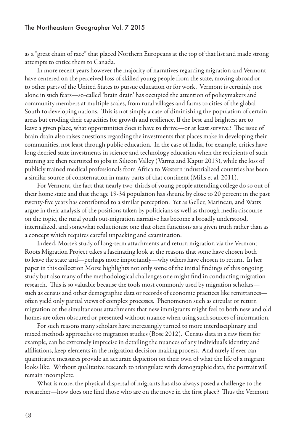as a "great chain of race" that placed Northern Europeans at the top of that list and made strong attempts to entice them to Canada.

In more recent years however the majority of narratives regarding migration and Vermont have centered on the perceived loss of skilled young people from the state, moving abroad or to other parts of the United States to pursue education or for work. Vermont is certainly not alone in such fears—so-called 'brain drain' has occupied the attention of policymakers and community members at multiple scales, from rural villages and farms to cities of the global South to developing nations. This is not simply a case of diminishing the population of certain areas but eroding their capacities for growth and resilience. If the best and brightest are to leave a given place, what opportunities does it have to thrive—or at least survive? The issue of brain drain also raises questions regarding the investments that places make in developing their communities, not least through public education. In the case of India, for example, critics have long decried state investments in science and technology education when the recipients of such training are then recruited to jobs in Silicon Valley (Varma and Kapur 2013), while the loss of publicly trained medical professionals from Africa to Western industrialized countries has been a similar source of consternation in many parts of that continent (Mills et al. 2011).

For Vermont, the fact that nearly two-thirds of young people attending college do so out of their home state and that the age 19-34 population has shrunk by close to 20 percent in the past twenty-five years has contributed to a similar perception. Yet as Geller, Marineau, and Watts argue in their analysis of the positions taken by politicians as well as through media discourse on the topic, the rural youth out-migration narrative has become a broadly understood, internalized, and somewhat reductionist one that often functions as a given truth rather than as a concept which requires careful unpacking and examination.

Indeed, Morse's study of long-term attachments and return migration via the Vermont Roots Migration Project takes a fascinating look at the reasons that some have chosen both to leave the state and—perhaps more importantly—why others have chosen to return. In her paper in this collection Morse highlights not only some of the initial findings of this ongoing study but also many of the methodological challenges one might find in conducting migration research. This is so valuable because the tools most commonly used by migration scholars such as census and other demographic data or records of economic practices like remittances often yield only partial views of complex processes. Phenomenon such as circular or return migration or the simultaneous attachments that new immigrants might feel to both new and old homes are often obscured or presented without nuance when using such sources of information.

For such reasons many scholars have increasingly turned to more interdisciplinary and mixed methods approaches to migration studies (Bose 2012). Census data in a raw form for example, can be extremely imprecise in detailing the nuances of any individual's identity and affiliations, keep elements in the migration decision-making process. And rarely if ever can quantitative measures provide an accurate depiction on their own of what the life of a migrant looks like. Without qualitative research to triangulate with demographic data, the portrait will remain incomplete.

What is more, the physical dispersal of migrants has also always posed a challenge to the researcher—how does one find those who are on the move in the first place? Thus the Vermont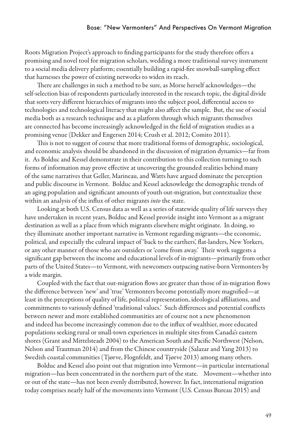Roots Migration Project's approach to finding participants for the study therefore offers a promising and novel tool for migration scholars, wedding a more traditional survey instrument to a social media delivery platform; essentially building a rapid-fire snowball-sampling effect that harnesses the power of existing networks to widen its reach.

There are challenges in such a method to be sure, as Morse herself acknowledges—the self-selection bias of respondents particularly interested in the research topic, the digital divide that sorts very different hierarchies of migrants into the subject pool, differential access to technologies and technological literacy that might also affect the sample. But, the use of social media both as a research technique and as a platform through which migrants themselves are connected has become increasingly acknowledged in the field of migration studies as a promising venue (Dekker and Engersen 2014; Crush et al. 2012; Comito 2011).

This is not to suggest of course that more traditional forms of demographic, sociological, and economic analysis should be abandoned in the discussion of migration dynamics—far from it. As Bolduc and Kessel demonstrate in their contribution to this collection turning to such forms of information may prove effective at uncovering the grounded realities behind many of the same narratives that Geller, Marineau, and Watts have argued dominate the perception and public discourse in Vermont. Bolduc and Kessel acknowledge the demographic trends of an aging population and significant amounts of youth out-migration, but contextualize these within an analysis of the influx of other migrants *into* the state.

Looking at both U.S. Census data as well as a series of statewide quality of life surveys they have undertaken in recent years, Bolduc and Kessel provide insight into Vermont as a migrant destination as well as a place from which migrants elsewhere might originate. In doing, so they illuminate another important narrative in Vermont regarding migrants—the economic, political, and especially the cultural impact of 'back to the earthers', flat-landers, New Yorkers, or any other manner of those who are outsiders or 'come from away.' Their work suggests a significant gap between the income and educational levels of in-migrants—primarily from other parts of the United States—to Vermont, with newcomers outpacing native-born Vermonters by a wide margin.

Coupled with the fact that out-migration flows are greater than those of in-migration flows the difference between 'new' and 'true' Vermonters become potentially more magnified—at least in the perceptions of quality of life, political representation, ideological affiliations, and commitments to variously defined 'traditional values.' Such differences and potential conflicts between newer and more established communities are of course not a new phenomenon and indeed has become increasingly common due to the influx of wealthier, more educated populations seeking rural or small-town experiences in multiple sites from Canada's eastern shores (Grant and Mittelsteadt 2004) to the American South and Pacific Northwest (Nelson, Nelson and Trautman 2014) and from the Chinese countryside (Salazar and Yang 2013) to Swedish coastal communities (Tjørve, Flognfeldt, and Tjørve 2013) among many others.

Bolduc and Kessel also point out that migration into Vermont—in particular international migration—has been concentrated in the northern part of the state. Movement—whether into or out of the state—has not been evenly distributed, however. In fact, international migration today comprises nearly half of the movements into Vermont (U.S. Census Bureau 2015) and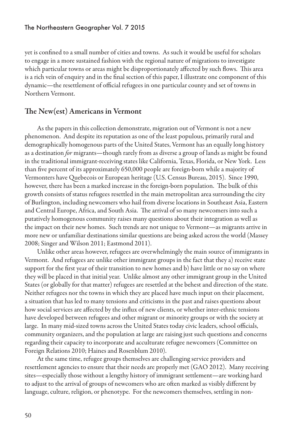yet is confined to a small number of cities and towns. As such it would be useful for scholars to engage in a more sustained fashion with the regional nature of migrations to investigate which particular towns or areas might be disproportionately affected by such flows. This area is a rich vein of enquiry and in the final section of this paper, I illustrate one component of this dynamic—the resettlement of official refugees in one particular county and set of towns in Northern Vermont.

### The New(est) Americans in Vermont

As the papers in this collection demonstrate, migration out of Vermont is not a new phenomenon. And despite its reputation as one of the least populous, primarily rural and demographically homogenous parts of the United States, Vermont has an equally long history as a destination *for* migrants—though rarely from as diverse a group of lands as might be found in the traditional immigrant-receiving states like California, Texas, Florida, or New York. Less than five percent of its approximately 650,000 people are foreign-born while a majority of Vermonters have Quebecois or European heritage (U.S. Census Bureau, 2015). Since 1990, however, there has been a marked increase in the foreign-born population. The bulk of this growth consists of status refugees resettled in the main metropolitan area surrounding the city of Burlington, including newcomers who hail from diverse locations in Southeast Asia, Eastern and Central Europe, Africa, and South Asia. The arrival of so many newcomers into such a putatively homogenous community raises many questions about their integration as well as the impact on their new homes. Such trends are not unique to Vermont—as migrants arrive in more new or unfamiliar destinations similar questions are being asked across the world (Massey 2008; Singer and Wilson 2011; Eastmond 2011).

Unlike other areas however, refugees are overwhelmingly the main source of immigrants in Vermont. And refugees are unlike other immigrant groups in the fact that they a) receive state support for the first year of their transition to new homes and b) have little or no say on where they will be placed in that initial year. Unlike almost any other immigrant group in the United States (or globally for that matter) refugees are resettled at the behest and direction of the state. Neither refugees nor the towns in which they are placed have much input on their placement, a situation that has led to many tensions and criticisms in the past and raises questions about how social services are affected by the influx of new clients, or whether inter-ethnic tensions have developed between refugees and other migrant or minority groups or with the society at large. In many mid-sized towns across the United States today civic leaders, school officials, community organizers, and the population at large are raising just such questions and concerns regarding their capacity to incorporate and acculturate refugee newcomers (Committee on Foreign Relations 2010; Haines and Rosenblum 2010).

At the same time, refugee groups themselves are challenging service providers and resettlement agencies to ensure that their needs are properly met (GAO 2012). Many receiving sites—especially those without a lengthy history of immigrant settlement—are working hard to adjust to the arrival of groups of newcomers who are often marked as visibly different by language, culture, religion, or phenotype. For the newcomers themselves, settling in non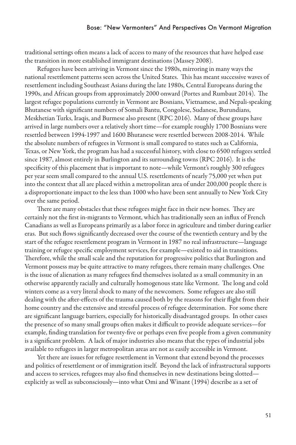traditional settings often means a lack of access to many of the resources that have helped ease the transition in more established immigrant destinations (Massey 2008).

Refugees have been arriving in Vermont since the 1980s, mirroring in many ways the national resettlement patterns seen across the United States. This has meant successive waves of resettlement including Southeast Asians during the late 1980s, Central Europeans during the 1990s, and African groups from approximately 2000 onward (Portes and Rumbaut 2014). The largest refugee populations currently in Vermont are Bosnians, Vietnamese, and Nepali-speaking Bhutanese with significant numbers of Somali Bantu, Congolese, Sudanese, Burundians, Meskhetian Turks, Iraqis, and Burmese also present (RPC 2016). Many of these groups have arrived in large numbers over a relatively short time—for example roughly 1700 Bosnians were resettled between 1994-1997 and 1600 Bhutanese were resettled between 2008-2014. While the absolute numbers of refugees in Vermont is small compared to states such as California, Texas, or New York, the program has had a successful history, with close to 6500 refugees settled since 1987, almost entirely in Burlington and its surrounding towns (RPC 2016). It is the specificity of this placement that is important to note—while Vermont's roughly 300 refugees per year seem small compared to the annual U.S. resettlements of nearly 75,000 yet when put into the context that all are placed within a metropolitan area of under 200,000 people there is a disproportionate impact to the less than 1000 who have been sent annually to New York City over the same period.

There are many obstacles that these refugees might face in their new homes. They are certainly not the first in-migrants to Vermont, which has traditionally seen an influx of French Canadians as well as Europeans primarily as a labor force in agriculture and timber during earlier eras. But such flows significantly decreased over the course of the twentieth century and by the start of the refugee resettlement program in Vermont in 1987 no real infrastructure—language training or refugee specific employment services, for example—existed to aid in transitions. Therefore, while the small scale and the reputation for progressive politics that Burlington and Vermont possess may be quite attractive to many refugees, there remain many challenges. One is the issue of alienation as many refugees find themselves isolated as a small community in an otherwise apparently racially and culturally homogenous state like Vermont. The long and cold winters come as a very literal shock to many of the newcomers. Some refugees are also still dealing with the after-effects of the trauma caused both by the reasons for their flight from their home country and the extensive and stressful process of refugee determination. For some there are significant language barriers, especially for historically disadvantaged groups. In other cases the presence of so many small groups often makes it difficult to provide adequate services—for example, finding translation for twenty-five or perhaps even five people from a given community is a significant problem. A lack of major industries also means that the types of industrial jobs available to refugees in larger metropolitan areas are not as easily accessible in Vermont.

Yet there are issues for refugee resettlement in Vermont that extend beyond the processes and politics of resettlement or of immigration itself. Beyond the lack of infrastructural supports and access to services, refugees may also find themselves in new destinations being slotted explicitly as well as subconsciously—into what Omi and Winant (1994) describe as a set of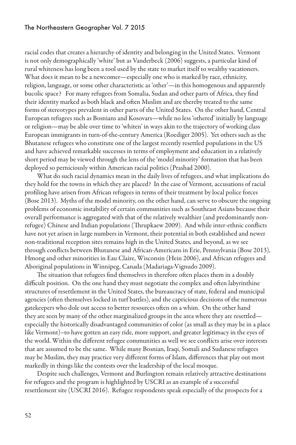racial codes that creates a hierarchy of identity and belonging in the United States. Vermont is not only demographically 'white' but as Vanderbeck (2006) suggests, a particular kind of rural whiteness has long been a tool used by the state to market itself to wealthy vacationers. What does it mean to be a newcomer—especially one who is marked by race, ethnicity, religion, language, or some other characteristic as 'other'—in this homogenous and apparently bucolic space? For many refugees from Somalia, Sudan and other parts of Africa, they find their identity marked as both black and often Muslim and are thereby treated to the same forms of stereotypes prevalent in other parts of the United States. On the other hand, Central European refugees such as Bosnians and Kosovars—while no less 'othered' initially by language or religion—may be able over time to 'whiten' in ways akin to the trajectory of working class European immigrants in turn-of-the-century America (Roediger 2005). Yet others such as the Bhutanese refugees who constitute one of the largest recently resettled populations in the US and have achieved remarkable successes in terms of employment and education in a relatively short period may be viewed through the lens of the 'model minority' formation that has been deployed so perniciously within American racial politics (Prashad 2000).

What do such racial dynamics mean in the daily lives of refugees, and what implications do they hold for the towns in which they are placed? In the case of Vermont, accusations of racial profiling have arisen from African refugees in terms of their treatment by local police forces (Bose 2013). Myths of the model minority, on the other hand, can serve to obscure the ongoing problems of economic instability of certain communities such as Southeast Asians because their overall performance is aggregated with that of the relatively wealthier (and predominantly nonrefugee) Chinese and Indian populations (Thrupkaew 2009). And while inter-ethnic conflicts have not yet arisen in large numbers in Vermont, their potential in both established and newer non-traditional reception sites remains high in the United States, and beyond, as we see through conflicts between Bhutanese and African-Americans in Erie, Pennsylvania (Bose 2013), Hmong and other minorities in Eau Claire, Wisconsin (Hein 2006), and African refugees and Aboriginal populations in Winnipeg, Canada (Madariaga-Vignudo 2009).

The situation that refugees find themselves in therefore often places them in a doubly difficult position. On the one hand they must negotiate the complex and often labyrinthine structures of resettlement in the United States, the bureaucracy of state, federal and municipal agencies (often themselves locked in turf battles), and the capricious decisions of the numerous gatekeepers who dole out access to better resources often on a whim. On the other hand they are seen by many of the other marginalized groups in the area where they are resettled especially the historically disadvantaged communities of color (as small as they may be in a place like Vermont)–to have gotten an easy ride, more support, and greater legitimacy in the eyes of the world. Within the different refugee communities as well we see conflicts arise over interests that are assumed to be the same. While many Bosnian, Iraqi, Somali and Sudanese refugees may be Muslim, they may practice very different forms of Islam, differences that play out most markedly in things like the contests over the leadership of the local mosque.

Despite such challenges, Vermont and Burlington remain relatively attractive destinations for refugees and the program is highlighted by USCRI as an example of a successful resettlement site (USCRI 2016). Refugee respondents speak especially of the prospects for a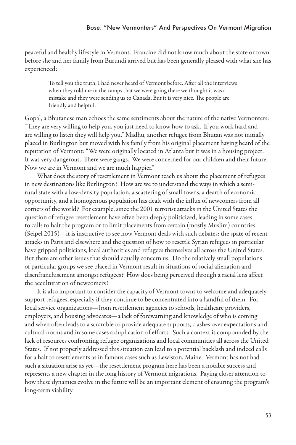#### Bose: "New Vermonters" And Perspectives On Vermont Migration

peaceful and healthy lifestyle in Vermont. Francine did not know much about the state or town before she and her family from Burundi arrived but has been generally pleased with what she has experienced:

To tell you the truth, I had never heard of Vermont before. After all the interviews when they told me in the camps that we were going there we thought it was a mistake and they were sending us to Canada. But it is very nice. The people are friendly and helpful.

Gopal, a Bhutanese man echoes the same sentiments about the nature of the native Vermonters: "They are very willing to help you, you just need to know how to ask. If you work hard and are willing to listen they will help you." Madhu, another refugee from Bhutan was not initially placed in Burlington but moved with his family from his original placement having heard of the reputation of Vermont: "We were originally located in Atlanta but it was in a housing project. It was very dangerous. There were gangs. We were concerned for our children and their future. Now we are in Vermont and we are much happier."

What does the story of resettlement in Vermont teach us about the placement of refugees in new destinations like Burlington? How are we to understand the ways in which a semirural state with a low-density population, a scattering of small towns, a dearth of economic opportunity, and a homogenous population has dealt with the influx of newcomers from all corners of the world? For example, since the 2001 terrorist attacks in the United States the question of refugee resettlement have often been deeply politicized, leading in some cases to calls to halt the program or to limit placements from certain (mostly Muslim) countries (Seipel 2015)—it is instructive to see how Vermont deals with such debates; the spate of recent attacks in Paris and elsewhere and the question of how to resettle Syrian refugees in particular have gripped politicians, local authorities and refugees themselves all across the United States. But there are other issues that should equally concern us. Do the relatively small populations of particular groups we see placed in Vermont result in situations of social alienation and disenfranchisement amongst refugees? How does being perceived through a racial lens affect the acculturation of newcomers?

It is also important to consider the capacity of Vermont towns to welcome and adequately support refugees, especially if they continue to be concentrated into a handful of them. For local service organizations—from resettlement agencies to schools, healthcare providers, employers, and housing advocates—a lack of forewarning and knowledge of who is coming and when often leads to a scramble to provide adequate supports, clashes over expectations and cultural norms and in some cases a duplication of efforts. Such a context is compounded by the lack of resources confronting refugee organizations and local communities all across the United States. If not properly addressed this situation can lead to a potential backlash and indeed calls for a halt to resettlements as in famous cases such as Lewiston, Maine. Vermont has not had such a situation arise as yet—the resettlement program here has been a notable success and represents a new chapter in the long history of Vermont migrations. Paying closer attention to how these dynamics evolve in the future will be an important element of ensuring the program's long-term viability.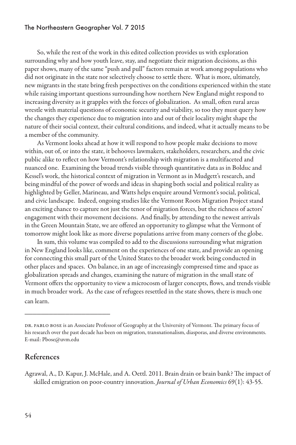So, while the rest of the work in this edited collection provides us with exploration surrounding why and how youth leave, stay, and negotiate their migration decisions, as this paper shows, many of the same "push and pull" factors remain at work among populations who did not originate in the state nor selectively choose to settle there. What is more, ultimately, new migrants in the state bring fresh perspectives on the conditions experienced within the state while raising important questions surrounding how northern New England might respond to increasing diversity as it grapples with the forces of globalization. As small, often rural areas wrestle with material questions of economic security and viability, so too they must query how the changes they experience due to migration into and out of their locality might shape the nature of their social context, their cultural conditions, and indeed, what it actually means to be a member of the community.

As Vermont looks ahead at how it will respond to how people make decisions to move within, out of, or into the state, it behooves lawmakers, stakeholders, researchers, and the civic public alike to reflect on how Vermont's relationship with migration is a multifaceted and nuanced one. Examining the broad trends visible through quantitative data as in Bolduc and Kessel's work, the historical context of migration in Vermont as in Mudgett's research, and being mindful of the power of words and ideas in shaping both social and political reality as highlighted by Geller, Marineau, and Watts helps enquire around Vermont's social, political, and civic landscape. Indeed, ongoing studies like the Vermont Roots Migration Project stand an exciting chance to capture not just the tenor of migration forces, but the richness of actors' engagement with their movement decisions. And finally, by attending to the newest arrivals in the Green Mountain State, we are offered an opportunity to glimpse what the Vermont of tomorrow might look like as more diverse populations arrive from many corners of the globe.

In sum, this volume was compiled to add to the discussions surrounding what migration in New England looks like, comment on the experiences of one state, and provide an opening for connecting this small part of the United States to the broader work being conducted in other places and spaces. On balance, in an age of increasingly compressed time and space as globalization spreads and changes, examining the nature of migration in the small state of Vermont offers the opportunity to view a microcosm of larger concepts, flows, and trends visible in much broader work. As the case of refugees resettled in the state shows, there is much one can learn.

## References

\_\_\_\_\_\_\_\_\_\_\_\_\_\_\_\_\_\_\_\_\_

Agrawal, A., D. Kapur, J. McHale, and A. Oettl. 2011. Brain drain or brain bank? The impact of skilled emigration on poor-country innovation. *Journal of Urban Economics* 69(1): 43-55.

DR. PABLO BOSE is an Associate Professor of Geography at the University of Vermont. The primary focus of his research over the past decade has been on migration, transnationalism, diasporas, and diverse environments. E-mail: Pbose@uvm.edu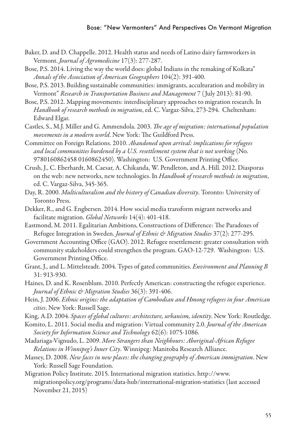- Baker, D. and D. Chappelle. 2012. Health status and needs of Latino dairy farmworkers in Vermont. *Journal of Agromedicine* 17(3): 277-287.
- Bose, P.S. 2014. Living the way the world does: global Indians in the remaking of Kolkata" *Annals of the Association of American Geographers* 104(2): 391-400.
- Bose, P.S. 2013. Building sustainable communities: immigrants, acculturation and mobility in Vermont" *Research in Transportation Business and Management* 7 ( July 2013): 81-90.
- Bose, P.S. 2012. Mapping movements: interdisciplinary approaches to migration research. In *Handbook of research methods in migration*, ed. C. Vargaz-Silva, 273-294. Cheltenham: Edward Elgar.
- Castles, S., M.J. Miller and G. Ammendola. 2003. *The age of migration: international population movements in a modern world*. New York: The Guildford Press.
- Committee on Foreign Relations. 2010. *Abandoned upon arrival: implications for refugees and local communities burdened by a U.S. resettlement system that is not working* (No. 9780160862458 0160862450). Washington: U.S. Government Printing Office.
- Crush, J., C. Eberhardt, M. Caesar, A. Chikanda, W. Pendleton, and A. Hill. 2012. Diasporas on the web: new networks, new technologies. In *Handbook of research methods in migration*, ed. C. Vargaz-Silva, 345-365.
- Day, R. 2000. *Multiculturalism and the history of Canadian diversity*. Toronto: University of Toronto Press.
- Dekker, R., and G. Engbersen. 2014. How social media transform migrant networks and facilitate migration. *Global Networks* 14(4): 401-418.
- Eastmond, M. 2011. Egalitarian Ambitions, Constructions of Difference: The Paradoxes of Refugee Integration in Sweden. *Journal of Ethnic & Migration Studies* 37(2): 277-295.
- Government Accounting Office (GAO). 2012. Refugee resettlement: greater consultation with community stakeholders could strengthen the program. GAO-12-729. Washington: U.S. Government Printing Office.
- Grant, J., and L. Mittelsteadt. 2004. Types of gated communities. *Environment and Planning B* 31: 913-930.
- Haines, D. and K. Rosenblum. 2010. Perfectly American: constructing the refugee experience. *Journal of Ethnic & Migration Studies* 36(3): 391-406.
- Hein, J. 2006. *Ethnic origins: the adaptation of Cambodian and Hmong refugees in four American cities*. New York: Russell Sage.
- King, A.D. 2004. *Spaces of global cultures: architecture, urbanism, identity*. New York: Routledge.
- Komito, L. 2011. Social media and migration: Virtual community 2.0. *Journal of the American Society for Information Science and Technology* 62(6): 1075-1086.
- Madariaga-Vignudo, L. 2009. *More Strangers than Neighbours: Aboriginal-African Refugee Relations in Winnipeg's Inner City*. Winnipeg: Manitoba Research Alliance.
- Massey, D. 2008. *New faces in new places: the changing geography of American immigration*. New York: Russell Sage Foundation.
- Migration Policy Institute. 2015. International migration statistics. http://www. migrationpolicy.org/programs/data-hub/international-migration-statistics (last accessed November 21, 2015)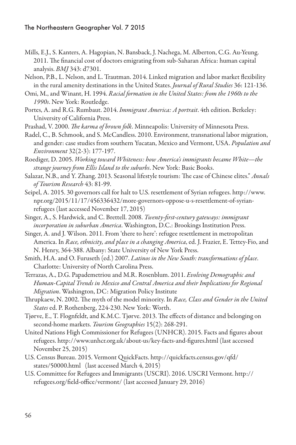- Mills, E.J., S. Kanters, A. Hagopian, N. Bansback, J. Nachega, M. Alberton, C.G. Au-Yeung. 2011. The financial cost of doctors emigrating from sub-Saharan Africa: human capital analysis. *BMJ* 343: d7301.
- Nelson, P.B., L. Nelson, and L. Trautman. 2014. Linked migration and labor market flexibility in the rural amenity destinations in the United States. *Journal of Rural Studies* 36: 121-136.
- Omi, M., and Winant, H. 1994. *Racial formation in the United States: from the 1960s to the 1990s*. New York: Routledge.
- Portes, A. and R.G. Rumbaut. 2014. *Immigrant America: A portrait*. 4th edition. Berkeley: University of California Press.
- Prashad, V. 2000. *The karma of brown folk*. Minneapolis: University of Minnesota Press.
- Radel, C., B. Schmook, and S. McCandless. 2010. Environment, transnational labor migration, and gender: case studies from southern Yucatan, Mexico and Vermont, USA. *Population and Environment* 32(2-3): 177-197.
- Roediger, D. 2005. *Working toward Whiteness: how America's immigrants became White—the strange journey from Ellis Island to the suburbs*. New York: Basic Books.
- Salazar, N.B., and Y. Zhang. 2013. Seasonal lifestyle tourism: The case of Chinese elites." *Annals of Tourism Research* 43: 81-99.
- Seipel, A. 2015. 30 governors call for halt to U.S. resettlement of Syrian refugees. http://www. npr.org/2015/11/17/456336432/more-governors-oppose-u-s-resettlement-of-syrianrefugees (last accessed November 17, 2015)
- Singer, A., S. Hardwick, and C. Brettell. 2008. *Twenty-first-century gateways: immigrant incorporation in suburban America*. Washington, D.C.: Brookings Institution Press.
- Singer, A. and J. Wilson. 2011. From 'there to here': refugee resettlement in metropolitan America. In *Race, ethnicity, and place in a changing America*, ed. J. Frazier, E. Tettey-Fio, and N. Henry, 364-388. Albany: State University of New York Press.
- Smith, H.A. and O. Furuseth (ed.) 2007. *Latinos in the New South: transformations of place*. Charlotte: University of North Carolina Press.
- Terrazas, A., D.G. Papademetriou and M.R. Rosenblum. 2011. *Evolving Demographic and Human-Capital Trends in Mexico and Central America and their Implications for Regional Migration*. Washington, DC: Migration Policy Institute
- Thrupkaew, N. 2002. The myth of the model minority. In *Race, Class and Gender in the United States* ed. P. Rothenberg, 224-230. New York: Worth.
- Tjørve, E., T. Flognfeldt, and K.M.C. Tjørve. 2013. The effects of distance and belonging on second-home markets. *Tourism Geographies* 15(2): 268-291.
- United Nations High Commissioner for Refugees (UNHCR). 2015. Facts and figures about refugees. http://www.unhcr.org.uk/about-us/key-facts-and-figures.html (last accessed November 25, 2015)
- U.S. Census Bureau. 2015. Vermont QuickFacts. http://quickfacts.census.gov/qfd/ states/50000.html (last accessed March 4, 2015)
- U.S. Committee for Refugees and Immigrants (USCRI). 2016. USCRI Vermont. http:// refugees.org/field-office/vermont/ (last accessed January 29, 2016)